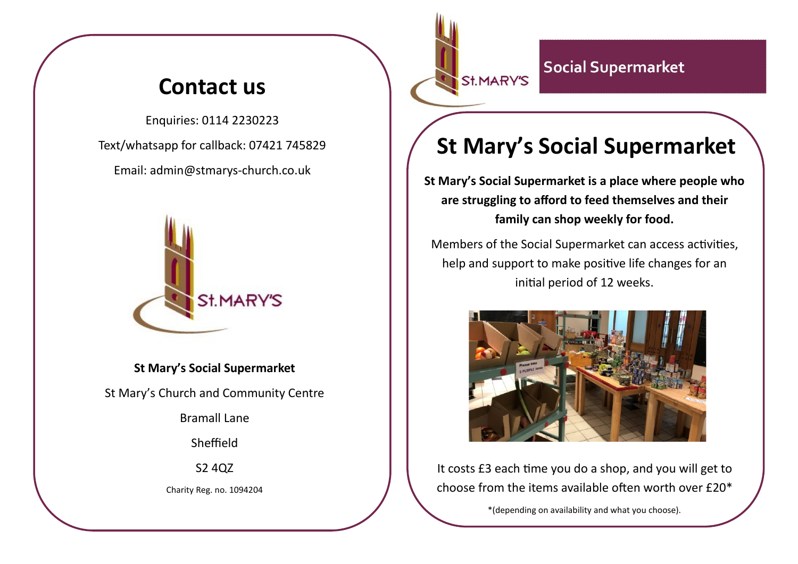## **Contact us**

Enquiries: 0114 2230223 Text/whatsapp for callback: 07421 745829 Email: admin@stmarys-church.co.uk



**St Mary's Social Supermarket**  St Mary's Church and Community Centre Bramall Lane

Sheffield

S2 4QZ

Charity Reg. no. 1094204

#### **Social Supermarket** St.MARY'S

# **St Mary's Social Supermarket**

**St Mary's Social Supermarket is a place where people who are struggling to afford to feed themselves and their family can shop weekly for food.** 

Members of the Social Supermarket can access activities, help and support to make positive life changes for an initial period of 12 weeks.



It costs £3 each time you do a shop, and you will get to choose from the items available often worth over £20\*

\*(depending on availability and what you choose).